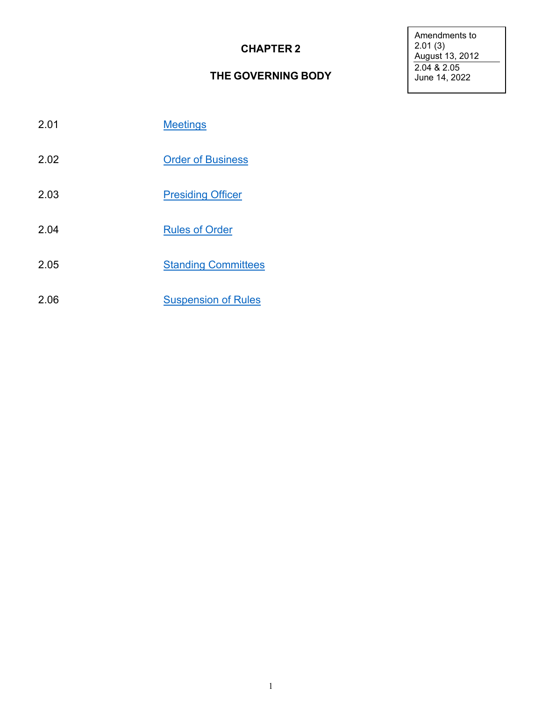# **CHAPTER 2**

## **THE GOVERNING BODY**

Amendments to 2.01 (3) August 13, 2012 2.04 & 2.05 June 14, 2022

- 2.01 [Meetings](#page-1-0)
- 2.02 Order of [Business](#page-1-1)
- 2.03 [Presiding Officer](#page-2-0)
- 2.04 [Rules of](#page-2-1) Order
- 2.05 [Standing Committees](#page-3-0)
- 2.06 [Suspension of](#page-4-0) Rules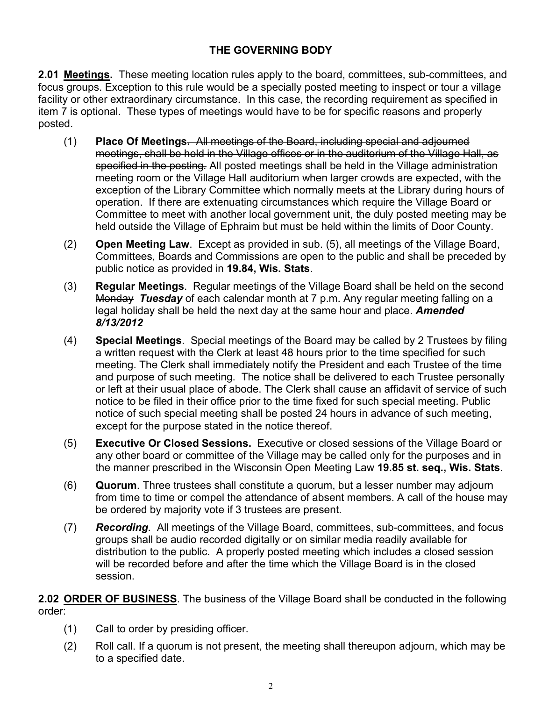## **THE GOVERNING BODY**

<span id="page-1-0"></span>**2.01 Meetings.** These meeting location rules apply to the board, committees, sub-committees, and focus groups. Exception to this rule would be a specially posted meeting to inspect or tour a village facility or other extraordinary circumstance. In this case, the recording requirement as specified in item 7 is optional. These types of meetings would have to be for specific reasons and properly posted.

- (1) **Place Of Meetings.** All meetings of the Board, including special and adjourned meetings, shall be held in the Village offices or in the auditorium of the Village Hall, as specified in the posting*.* All posted meetings shall be held in the Village administration meeting room or the Village Hall auditorium when larger crowds are expected, with the exception of the Library Committee which normally meets at the Library during hours of operation. If there are extenuating circumstances which require the Village Board or Committee to meet with another local government unit, the duly posted meeting may be held outside the Village of Ephraim but must be held within the limits of Door County.
- (2) **Open Meeting Law**. Except as provided in sub. (5), all meetings of the Village Board, Committees, Boards and Commissions are open to the public and shall be preceded by public notice as provided in **19.84, Wis. Stats**.
- (3) **Regular Meetings**. Regular meetings of the Village Board shall be held on the second Monday *Tuesday* of each calendar month at 7 p.m. Any regular meeting falling on a legal holiday shall be held the next day at the same hour and place. *Amended 8/13/2012*
- (4) **Special Meetings**. Special meetings of the Board may be called by 2 Trustees by filing a written request with the Clerk at least 48 hours prior to the time specified for such meeting. The Clerk shall immediately notify the President and each Trustee of the time and purpose of such meeting. The notice shall be delivered to each Trustee personally or left at their usual place of abode. The Clerk shall cause an affidavit of service of such notice to be filed in their office prior to the time fixed for such special meeting. Public notice of such special meeting shall be posted 24 hours in advance of such meeting, except for the purpose stated in the notice thereof.
- (5) **Executive Or Closed Sessions.** Executive or closed sessions of the Village Board or any other board or committee of the Village may be called only for the purposes and in the manner prescribed in the Wisconsin Open Meeting Law **19.85 st. seq., Wis. Stats**.
- (6) **Quorum**. Three trustees shall constitute a quorum, but a lesser number may adjourn from time to time or compel the attendance of absent members. A call of the house may be ordered by majority vote if 3 trustees are present.
- (7) *Recording.* All meetings of the Village Board, committees, sub-committees, and focus groups shall be audio recorded digitally or on similar media readily available for distribution to the public. A properly posted meeting which includes a closed session will be recorded before and after the time which the Village Board is in the closed session.

**2.02 ORDER OF BUSINESS**. The business of the Village Board shall be conducted in the following order:

- <span id="page-1-1"></span>(1) Call to order by presiding officer.
- (2) Roll call. If a quorum is not present, the meeting shall thereupon adjourn, which may be to a specified date.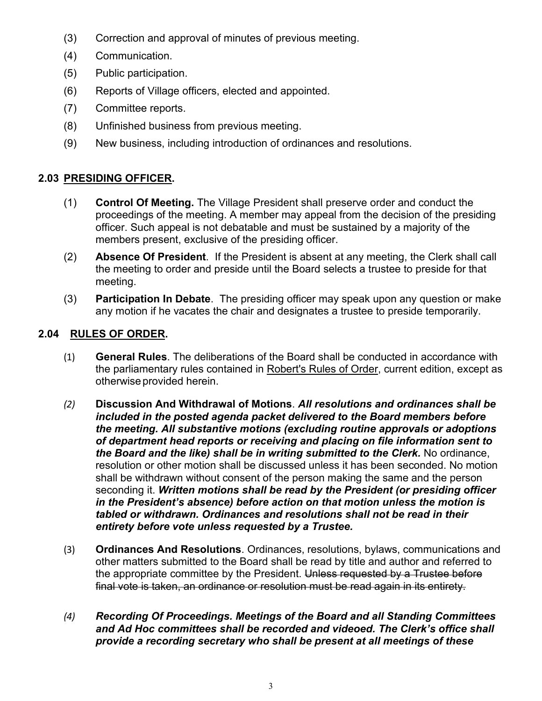- (3) Correction and approval of minutes of previous meeting.
- (4) Communication.
- (5) Public participation.
- (6) Reports of Village officers, elected and appointed.
- (7) Committee reports.
- (8) Unfinished business from previous meeting.
- (9) New business, including introduction of ordinances and resolutions.

# **2.03 PRESIDING OFFICER.**

- <span id="page-2-0"></span>(1) **Control Of Meeting.** The Village President shall preserve order and conduct the proceedings of the meeting. A member may appeal from the decision of the presiding officer. Such appeal is not debatable and must be sustained by a majority of the members present, exclusive of the presiding officer.
- (2) **Absence Of President**. If the President is absent at any meeting, the Clerk shall call the meeting to order and preside until the Board selects a trustee to preside for that meeting.
- (3) **Participation In Debate**. The presiding officer may speak upon any question or make any motion if he vacates the chair and designates a trustee to preside temporarily.

#### **2.04 RULES OF ORDER.**

- <span id="page-2-1"></span>(1) **General Rules**. The deliberations of the Board shall be conducted in accordance with the parliamentary rules contained in Robert's Rules of Order, current edition, except as otherwise provided herein.
- *(2)* **Discussion And Withdrawal of Motions**. *All resolutions and ordinances shall be included in the posted agenda packet delivered to the Board members before the meeting. All substantive motions (excluding routine approvals or adoptions of department head reports or receiving and placing on file information sent to the Board and the like) shall be in writing submitted to the Clerk.* No ordinance, resolution or other motion shall be discussed unless it has been seconded. No motion shall be withdrawn without consent of the person making the same and the person seconding it. *Written motions shall be read by the President (or presiding officer in the President's absence) before action on that motion unless the motion is tabled or withdrawn. Ordinances and resolutions shall not be read in their entirety before vote unless requested by a Trustee.*
- (3) **Ordinances And Resolutions**. Ordinances, resolutions, bylaws, communications and other matters submitted to the Board shall be read by title and author and referred to the appropriate committee by the President. Unless requested by a Trustee before final vote is taken, an ordinance or resolution must be read again in its entirety.
- *(4) Recording Of Proceedings. Meetings of the Board and all Standing Committees and Ad Hoc committees shall be recorded and videoed. The Clerk's office shall provide a recording secretary who shall be present at all meetings of these*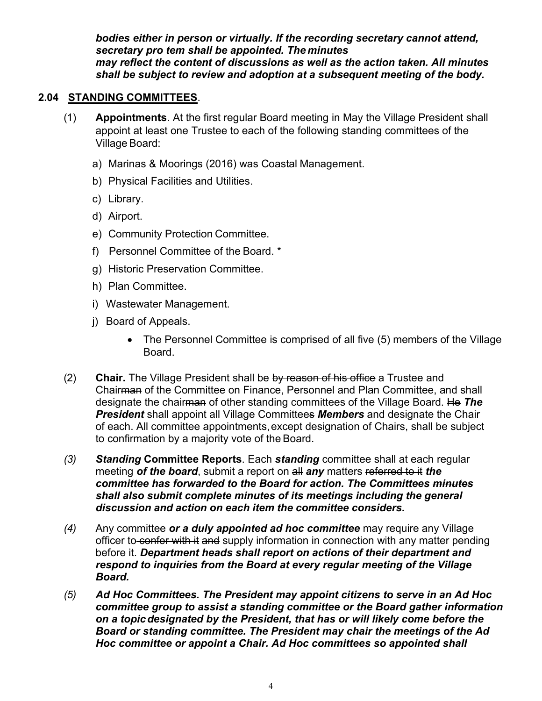<span id="page-3-0"></span>*bodies either in person or virtually. If the recording secretary cannot attend, secretary pro tem shall be appointed. The minutes may reflect the content of discussions as well as the action taken. All minutes shall be subject to review and adoption at a subsequent meeting of the body.*

#### **2.04 STANDING COMMITTEES**.

- (1) **Appointments**. At the first regular Board meeting in May the Village President shall appoint at least one Trustee to each of the following standing committees of the Village Board:
	- a) Marinas & Moorings (2016) was Coastal Management.
	- b) Physical Facilities and Utilities.
	- c) Library.
	- d) Airport.
	- e) Community Protection Committee.
	- f) Personnel Committee of the Board. \*
	- g) Historic Preservation Committee.
	- h) Plan Committee.
	- i) Wastewater Management.
	- j) Board of Appeals.
		- The Personnel Committee is comprised of all five (5) members of the Village Board.
- (2) **Chair.** The Village President shall be by reason of his office a Trustee and Chairman of the Committee on Finance, Personnel and Plan Committee, and shall designate the chairman of other standing committees of the Village Board. He *The President* shall appoint all Village Committees *Members* and designate the Chair of each. All committee appointments,except designation of Chairs, shall be subject to confirmation by a majority vote of the Board.
- *(3) Standing* **Committee Reports**. Each *standing* committee shall at each regular meeting *of the board*, submit a report on all *any* matters referred to it *the committee has forwarded to the Board for action. The Committees minutes shall also submit complete minutes of its meetings including the general discussion and action on each item the committee considers.*
- *(4)* Any committee *or a duly appointed ad hoc committee* may require any Village officer to confer with it and supply information in connection with any matter pending before it. *Department heads shall report on actions of their department and respond to inquiries from the Board at every regular meeting of the Village Board.*
- *(5) Ad Hoc Committees. The President may appoint citizens to serve in an Ad Hoc committee group to assist a standing committee or the Board gather information on a topicdesignated by the President, that has or will likely come before the Board or standing committee. The President may chair the meetings of the Ad Hoc committee or appoint a Chair. Ad Hoc committees so appointed shall*